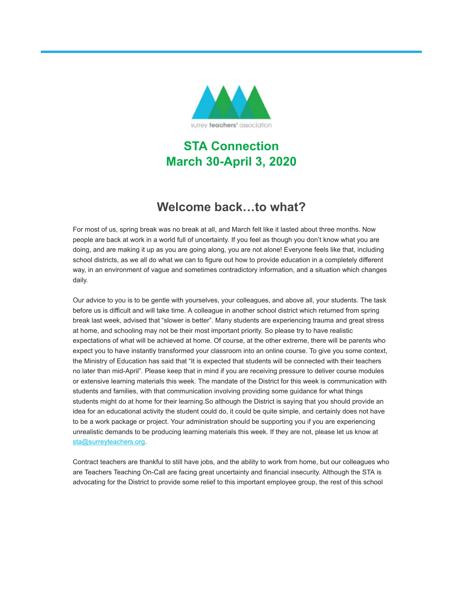

# **STA Connection March 30-April 3, 2020**

# **Welcome back…to what?**

For most of us, spring break was no break at all, and March felt like it lasted about three months. Now people are back at work in a world full of uncertainty. If you feel as though you don't know what you are doing, and are making it up as you are going along, you are not alone! Everyone feels like that, including school districts, as we all do what we can to figure out how to provide education in a completely different way, in an environment of vague and sometimes contradictory information, and a situation which changes daily.

Our advice to you is to be gentle with yourselves, your colleagues, and above all, your students. The task before us is difficult and will take time. A colleague in another school district which returned from spring break last week, advised that "slower is better". Many students are experiencing trauma and great stress at home, and schooling may not be their most important priority. So please try to have realistic expectations of what will be achieved at home. Of course, at the other extreme, there will be parents who expect you to have instantly transformed your classroom into an online course. To give you some context, the Ministry of Education has said that "It is expected that students will be connected with their teachers no later than mid-April". Please keep that in mind if you are receiving pressure to deliver course modules or extensive learning materials this week. The mandate of the District for this week is communication with students and families, with that communication involving providing some guidance for what things students might do at home for their learning.So although the District is saying that you should provide an idea for an educational activity the student could do, it could be quite simple, and certainly does not have to be a work package or project. Your administration should be supporting you if you are experiencing unrealistic demands to be producing learning materials this week. If they are not, please let us know at [sta@surreyteachers.org](mailto:sta@surreyteachers.org).

Contract teachers are thankful to still have jobs, and the ability to work from home, but our colleagues who are Teachers Teaching On-Call are facing great uncertainty and financial insecurity. Although the STA is advocating for the District to provide some relief to this important employee group, the rest of this school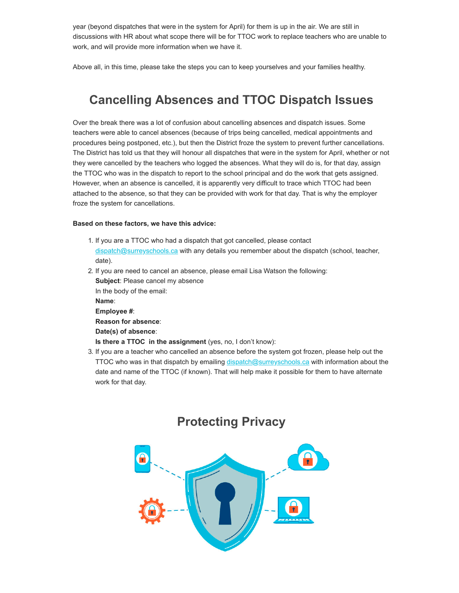year (beyond dispatches that were in the system for April) for them is up in the air. We are still in discussions with HR about what scope there will be for TTOC work to replace teachers who are unable to work, and will provide more information when we have it.

Above all, in this time, please take the steps you can to keep yourselves and your families healthy.

## **Cancelling Absences and TTOC Dispatch Issues**

Over the break there was a lot of confusion about cancelling absences and dispatch issues. Some teachers were able to cancel absences (because of trips being cancelled, medical appointments and procedures being postponed, etc.), but then the District froze the system to prevent further cancellations. The District has told us that they will honour all dispatches that were in the system for April, whether or not they were cancelled by the teachers who logged the absences. What they will do is, for that day, assign the TTOC who was in the dispatch to report to the school principal and do the work that gets assigned. However, when an absence is cancelled, it is apparently very difficult to trace which TTOC had been attached to the absence, so that they can be provided with work for that day. That is why the employer froze the system for cancellations.

#### **Based on these factors, we have this advice:**

- 1. If you are a TTOC who had a dispatch that got cancelled, please contact [dispatch@surreyschools.ca](mailto:dispatch@surreyschools.ca) with any details you remember about the dispatch (school, teacher, date).
- 2. If you are need to cancel an absence, please email Lisa Watson the following:

**Subject**: Please cancel my absence In the body of the email: **Name**: **Employee #**: **Reason for absence**: **Date(s) of absence**:

**Is there a TTOC in the assignment** (yes, no, I don't know):

3. If you are a teacher who cancelled an absence before the system got frozen, please help out the TTOC who was in that dispatch by emailing [dispatch@surreyschools.ca](mailto:dispatch@surreyschools.ca) with information about the date and name of the TTOC (if known). That will help make it possible for them to have alternate work for that day.

#### **Protecting Privacy**

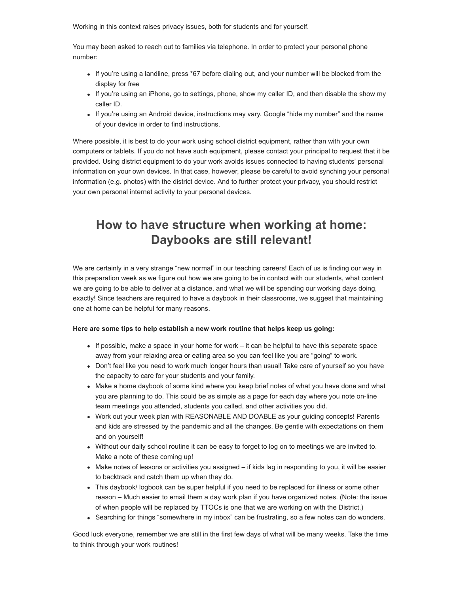Working in this context raises privacy issues, both for students and for yourself.

You may been asked to reach out to families via telephone. In order to protect your personal phone number:

- If you're using a landline, press \*67 before dialing out, and your number will be blocked from the display for free
- If you're using an iPhone, go to settings, phone, show my caller ID, and then disable the show my caller ID.
- If you're using an Android device, instructions may vary. Google "hide my number" and the name of your device in order to find instructions.

Where possible, it is best to do your work using school district equipment, rather than with your own computers or tablets. If you do not have such equipment, please contact your principal to request that it be provided. Using district equipment to do your work avoids issues connected to having students' personal information on your own devices. In that case, however, please be careful to avoid synching your personal information (e.g. photos) with the district device. And to further protect your privacy, you should restrict your own personal internet activity to your personal devices.

# **How to have structure when working at home: Daybooks are still relevant!**

We are certainly in a very strange "new normal" in our teaching careers! Each of us is finding our way in this preparation week as we figure out how we are going to be in contact with our students, what content we are going to be able to deliver at a distance, and what we will be spending our working days doing, exactly! Since teachers are required to have a daybook in their classrooms, we suggest that maintaining one at home can be helpful for many reasons.

#### **Here are some tips to help establish a new work routine that helps keep us going:**

- $\bullet$  If possible, make a space in your home for work  $-$  it can be helpful to have this separate space away from your relaxing area or eating area so you can feel like you are "going" to work.
- Don't feel like you need to work much longer hours than usual! Take care of yourself so you have the capacity to care for your students and your family.
- Make a home daybook of some kind where you keep brief notes of what you have done and what you are planning to do. This could be as simple as a page for each day where you note on-line team meetings you attended, students you called, and other activities you did.
- Work out your week plan with REASONABLE AND DOABLE as your guiding concepts! Parents and kids are stressed by the pandemic and all the changes. Be gentle with expectations on them and on yourself!
- Without our daily school routine it can be easy to forget to log on to meetings we are invited to. Make a note of these coming up!
- Make notes of lessons or activities you assigned if kids lag in responding to you, it will be easier to backtrack and catch them up when they do.
- This daybook/ logbook can be super helpful if you need to be replaced for illness or some other reason – Much easier to email them a day work plan if you have organized notes. (Note: the issue of when people will be replaced by TTOCs is one that we are working on with the District.)
- Searching for things "somewhere in my inbox" can be frustrating, so a few notes can do wonders.

Good luck everyone, remember we are still in the first few days of what will be many weeks. Take the time to think through your work routines!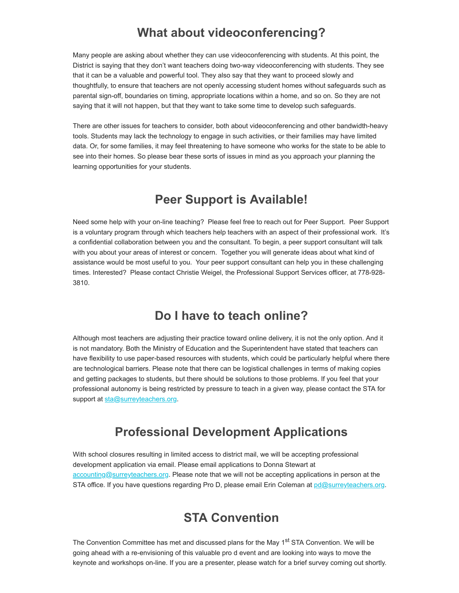### **What about videoconferencing?**

Many people are asking about whether they can use videoconferencing with students. At this point, the District is saying that they don't want teachers doing two-way videoconferencing with students. They see that it can be a valuable and powerful tool. They also say that they want to proceed slowly and thoughtfully, to ensure that teachers are not openly accessing student homes without safeguards such as parental sign-off, boundaries on timing, appropriate locations within a home, and so on. So they are not saying that it will not happen, but that they want to take some time to develop such safeguards.

There are other issues for teachers to consider, both about videoconferencing and other bandwidth-heavy tools. Students may lack the technology to engage in such activities, or their families may have limited data. Or, for some families, it may feel threatening to have someone who works for the state to be able to see into their homes. So please bear these sorts of issues in mind as you approach your planning the learning opportunities for your students.

### **Peer Support is Available!**

Need some help with your on-line teaching? Please feel free to reach out for Peer Support. Peer Support is a voluntary program through which teachers help teachers with an aspect of their professional work. It's a confidential collaboration between you and the consultant. To begin, a peer support consultant will talk with you about your areas of interest or concern. Together you will generate ideas about what kind of assistance would be most useful to you. Your peer support consultant can help you in these challenging times. Interested? Please contact Christie Weigel, the Professional Support Services officer, at 778-928- 3810.

#### **Do I have to teach online?**

Although most teachers are adjusting their practice toward online delivery, it is not the only option. And it is not mandatory. Both the Ministry of Education and the Superintendent have stated that teachers can have flexibility to use paper-based resources with students, which could be particularly helpful where there are technological barriers. Please note that there can be logistical challenges in terms of making copies and getting packages to students, but there should be solutions to those problems. If you feel that your professional autonomy is being restricted by pressure to teach in a given way, please contact the STA for support at [sta@surreyteachers.org.](mailto:sta@surreyteachers.org)

## **Professional Development Applications**

With school closures resulting in limited access to district mail, we will be accepting professional development application via email. Please email applications to Donna Stewart at [accounting@surreyteachers.org.](mailto:accounting@surreyteachers.org) Please note that we will not be accepting applications in person at the STA office. If you have questions regarding Pro D, please email Erin Coleman at [pd@surreyteachers.org.](mailto:pd@surreyteachers.org)

### **STA Convention**

The Convention Committee has met and discussed plans for the May 1<sup>st</sup> STA Convention. We will be going ahead with a re-envisioning of this valuable pro d event and are looking into ways to move the keynote and workshops on-line. If you are a presenter, please watch for a brief survey coming out shortly.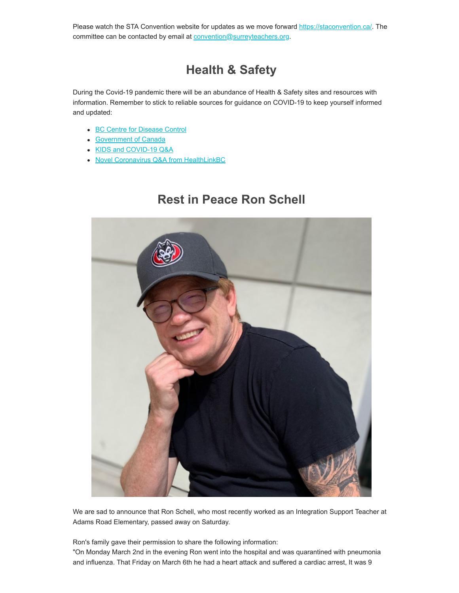Please watch the STA Convention website for updates as we move forward [https://staconvention.ca/](https://surreyteachers.us20.list-manage.com/track/click?u=37ec644ae87e34b54b3912660&id=64a1c32a8a&e=7261da6bdb). The committee can be contacted by email at **convention@surreyteachers.org**.

# **Health & Safety**

During the Covid-19 pandemic there will be an abundance of Health & Safety sites and resources with information. Remember to stick to reliable sources for guidance on COVID-19 to keep yourself informed and updated:

- [BC Centre for Disease Control](https://surreyteachers.us20.list-manage.com/track/click?u=37ec644ae87e34b54b3912660&id=a46d3108ae&e=7261da6bdb)
- [Government of Canada](https://surreyteachers.us20.list-manage.com/track/click?u=37ec644ae87e34b54b3912660&id=f0b1b6d5a4&e=7261da6bdb)
- [KIDS and COVID-19 Q&A](https://surreyteachers.us20.list-manage.com/track/click?u=37ec644ae87e34b54b3912660&id=e9c25f639f&e=7261da6bdb)
- [Novel Coronavirus Q&A from HealthLinkBC](https://surreyteachers.us20.list-manage.com/track/click?u=37ec644ae87e34b54b3912660&id=67ed1b08b6&e=7261da6bdb)

### **Rest in Peace Ron Schell**



We are sad to announce that Ron Schell, who most recently worked as an Integration Support Teacher at Adams Road Elementary, passed away on Saturday.

Ron's family gave their permission to share the following information: "On Monday March 2nd in the evening Ron went into the hospital and was quarantined with pneumonia and influenza. That Friday on March 6th he had a heart attack and suffered a cardiac arrest, It was 9